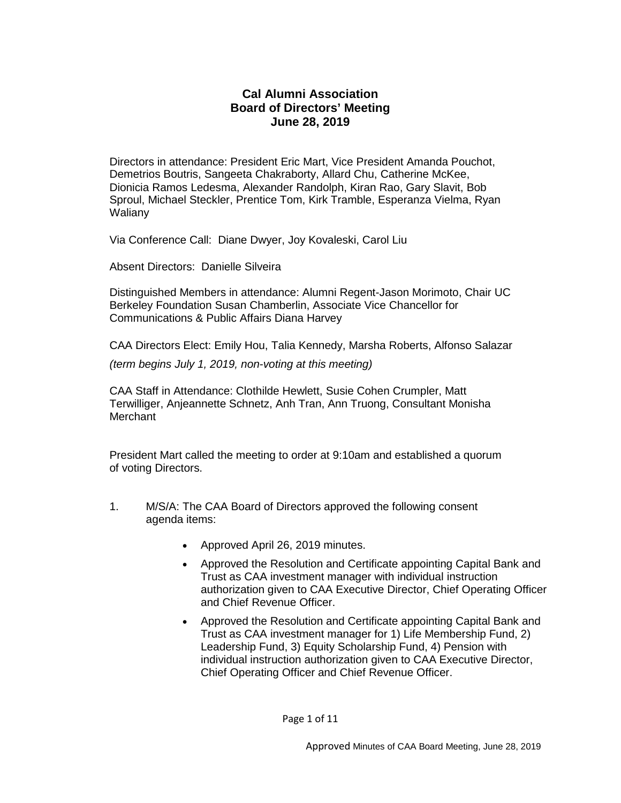# **Cal Alumni Association Board of Directors' Meeting June 28, 2019**

Directors in attendance: President Eric Mart, Vice President Amanda Pouchot, Demetrios Boutris, Sangeeta Chakraborty, Allard Chu, Catherine McKee, Dionicia Ramos Ledesma, Alexander Randolph, Kiran Rao, Gary Slavit, Bob Sproul, Michael Steckler, Prentice Tom, Kirk Tramble, Esperanza Vielma, Ryan Waliany

Via Conference Call: Diane Dwyer, Joy Kovaleski, Carol Liu

Absent Directors: Danielle Silveira

Distinguished Members in attendance: Alumni Regent-Jason Morimoto, Chair UC Berkeley Foundation Susan Chamberlin, Associate Vice Chancellor for Communications & Public Affairs Diana Harvey

CAA Directors Elect: Emily Hou, Talia Kennedy, Marsha Roberts, Alfonso Salazar

*(term begins July 1, 2019, non-voting at this meeting)*

CAA Staff in Attendance: Clothilde Hewlett, Susie Cohen Crumpler, Matt Terwilliger, Anjeannette Schnetz, Anh Tran, Ann Truong, Consultant Monisha Merchant

President Mart called the meeting to order at 9:10am and established a quorum of voting Directors.

- 1. M/S/A: The CAA Board of Directors approved the following consent agenda items:
	- Approved April 26, 2019 minutes.
	- Approved the Resolution and Certificate appointing Capital Bank and Trust as CAA investment manager with individual instruction authorization given to CAA Executive Director, Chief Operating Officer and Chief Revenue Officer.
	- Approved the Resolution and Certificate appointing Capital Bank and Trust as CAA investment manager for 1) Life Membership Fund, 2) Leadership Fund, 3) Equity Scholarship Fund, 4) Pension with individual instruction authorization given to CAA Executive Director, Chief Operating Officer and Chief Revenue Officer.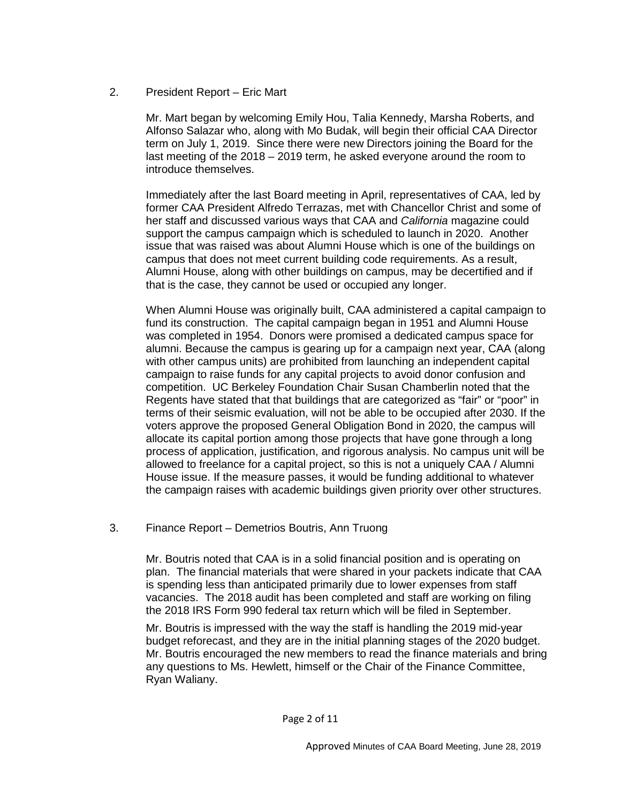## 2. President Report – Eric Mart

Mr. Mart began by welcoming Emily Hou, Talia Kennedy, Marsha Roberts, and Alfonso Salazar who, along with Mo Budak, will begin their official CAA Director term on July 1, 2019. Since there were new Directors joining the Board for the last meeting of the 2018 – 2019 term, he asked everyone around the room to introduce themselves.

Immediately after the last Board meeting in April, representatives of CAA, led by former CAA President Alfredo Terrazas, met with Chancellor Christ and some of her staff and discussed various ways that CAA and *California* magazine could support the campus campaign which is scheduled to launch in 2020. Another issue that was raised was about Alumni House which is one of the buildings on campus that does not meet current building code requirements. As a result, Alumni House, along with other buildings on campus, may be decertified and if that is the case, they cannot be used or occupied any longer.

When Alumni House was originally built, CAA administered a capital campaign to fund its construction. The capital campaign began in 1951 and Alumni House was completed in 1954. Donors were promised a dedicated campus space for alumni. Because the campus is gearing up for a campaign next year, CAA (along with other campus units) are prohibited from launching an independent capital campaign to raise funds for any capital projects to avoid donor confusion and competition. UC Berkeley Foundation Chair Susan Chamberlin noted that the Regents have stated that that buildings that are categorized as "fair" or "poor" in terms of their seismic evaluation, will not be able to be occupied after 2030. If the voters approve the proposed General Obligation Bond in 2020, the campus will allocate its capital portion among those projects that have gone through a long process of application, justification, and rigorous analysis. No campus unit will be allowed to freelance for a capital project, so this is not a uniquely CAA / Alumni House issue. If the measure passes, it would be funding additional to whatever the campaign raises with academic buildings given priority over other structures.

### 3. Finance Report – Demetrios Boutris, Ann Truong

Mr. Boutris noted that CAA is in a solid financial position and is operating on plan. The financial materials that were shared in your packets indicate that CAA is spending less than anticipated primarily due to lower expenses from staff vacancies. The 2018 audit has been completed and staff are working on filing the 2018 IRS Form 990 federal tax return which will be filed in September.

Mr. Boutris is impressed with the way the staff is handling the 2019 mid-year budget reforecast, and they are in the initial planning stages of the 2020 budget. Mr. Boutris encouraged the new members to read the finance materials and bring any questions to Ms. Hewlett, himself or the Chair of the Finance Committee, Ryan Waliany.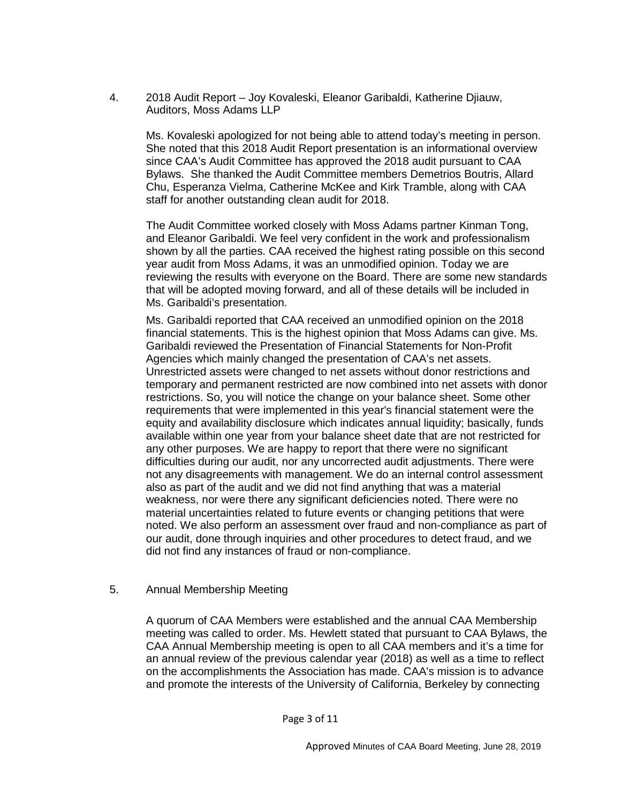4. 2018 Audit Report – Joy Kovaleski, Eleanor Garibaldi, Katherine Djiauw, Auditors, Moss Adams LLP

Ms. Kovaleski apologized for not being able to attend today's meeting in person. She noted that this 2018 Audit Report presentation is an informational overview since CAA's Audit Committee has approved the 2018 audit pursuant to CAA Bylaws. She thanked the Audit Committee members Demetrios Boutris, Allard Chu, Esperanza Vielma, Catherine McKee and Kirk Tramble, along with CAA staff for another outstanding clean audit for 2018.

The Audit Committee worked closely with Moss Adams partner Kinman Tong, and Eleanor Garibaldi. We feel very confident in the work and professionalism shown by all the parties. CAA received the highest rating possible on this second year audit from Moss Adams, it was an unmodified opinion. Today we are reviewing the results with everyone on the Board. There are some new standards that will be adopted moving forward, and all of these details will be included in Ms. Garibaldi's presentation.

Ms. Garibaldi reported that CAA received an unmodified opinion on the 2018 financial statements. This is the highest opinion that Moss Adams can give. Ms. Garibaldi reviewed the Presentation of Financial Statements for Non-Profit Agencies which mainly changed the presentation of CAA's net assets. Unrestricted assets were changed to net assets without donor restrictions and temporary and permanent restricted are now combined into net assets with donor restrictions. So, you will notice the change on your balance sheet. Some other requirements that were implemented in this year's financial statement were the equity and availability disclosure which indicates annual liquidity; basically, funds available within one year from your balance sheet date that are not restricted for any other purposes. We are happy to report that there were no significant difficulties during our audit, nor any uncorrected audit adjustments. There were not any disagreements with management. We do an internal control assessment also as part of the audit and we did not find anything that was a material weakness, nor were there any significant deficiencies noted. There were no material uncertainties related to future events or changing petitions that were noted. We also perform an assessment over fraud and non-compliance as part of our audit, done through inquiries and other procedures to detect fraud, and we did not find any instances of fraud or non-compliance.

### 5. Annual Membership Meeting

A quorum of CAA Members were established and the annual CAA Membership meeting was called to order. Ms. Hewlett stated that pursuant to CAA Bylaws, the CAA Annual Membership meeting is open to all CAA members and it's a time for an annual review of the previous calendar year (2018) as well as a time to reflect on the accomplishments the Association has made. CAA's mission is to advance and promote the interests of the University of California, Berkeley by connecting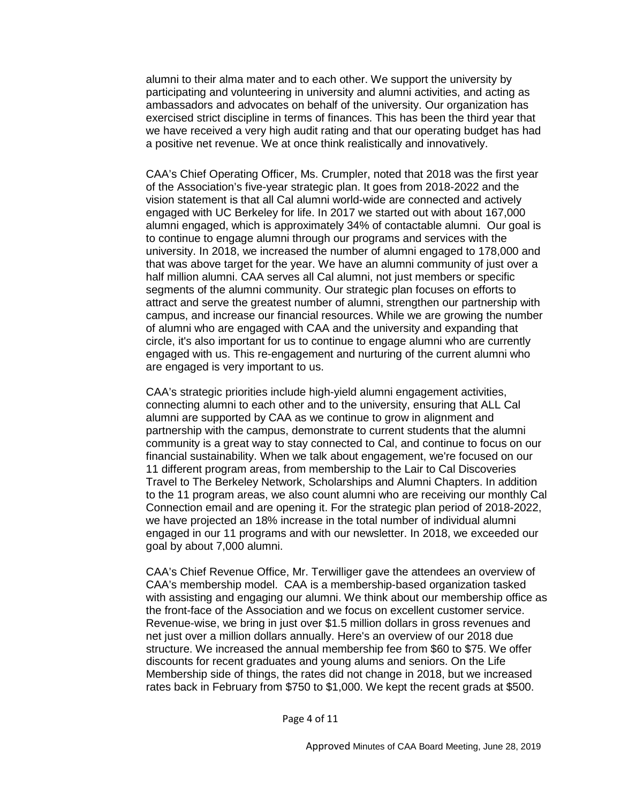alumni to their alma mater and to each other. We support the university by participating and volunteering in university and alumni activities, and acting as ambassadors and advocates on behalf of the university. Our organization has exercised strict discipline in terms of finances. This has been the third year that we have received a very high audit rating and that our operating budget has had a positive net revenue. We at once think realistically and innovatively.

CAA's Chief Operating Officer, Ms. Crumpler, noted that 2018 was the first year of the Association's five-year strategic plan. It goes from 2018-2022 and the vision statement is that all Cal alumni world-wide are connected and actively engaged with UC Berkeley for life. In 2017 we started out with about 167,000 alumni engaged, which is approximately 34% of contactable alumni. Our goal is to continue to engage alumni through our programs and services with the university. In 2018, we increased the number of alumni engaged to 178,000 and that was above target for the year. We have an alumni community of just over a half million alumni. CAA serves all Cal alumni, not just members or specific segments of the alumni community. Our strategic plan focuses on efforts to attract and serve the greatest number of alumni, strengthen our partnership with campus, and increase our financial resources. While we are growing the number of alumni who are engaged with CAA and the university and expanding that circle, it's also important for us to continue to engage alumni who are currently engaged with us. This re-engagement and nurturing of the current alumni who are engaged is very important to us.

CAA's strategic priorities include high-yield alumni engagement activities, connecting alumni to each other and to the university, ensuring that ALL Cal alumni are supported by CAA as we continue to grow in alignment and partnership with the campus, demonstrate to current students that the alumni community is a great way to stay connected to Cal, and continue to focus on our financial sustainability. When we talk about engagement, we're focused on our 11 different program areas, from membership to the Lair to Cal Discoveries Travel to The Berkeley Network, Scholarships and Alumni Chapters. In addition to the 11 program areas, we also count alumni who are receiving our monthly Cal Connection email and are opening it. For the strategic plan period of 2018-2022, we have projected an 18% increase in the total number of individual alumni engaged in our 11 programs and with our newsletter. In 2018, we exceeded our goal by about 7,000 alumni.

CAA's Chief Revenue Office, Mr. Terwilliger gave the attendees an overview of CAA's membership model. CAA is a membership-based organization tasked with assisting and engaging our alumni. We think about our membership office as the front-face of the Association and we focus on excellent customer service. Revenue-wise, we bring in just over \$1.5 million dollars in gross revenues and net just over a million dollars annually. Here's an overview of our 2018 due structure. We increased the annual membership fee from \$60 to \$75. We offer discounts for recent graduates and young alums and seniors. On the Life Membership side of things, the rates did not change in 2018, but we increased rates back in February from \$750 to \$1,000. We kept the recent grads at \$500.

Page 4 of 11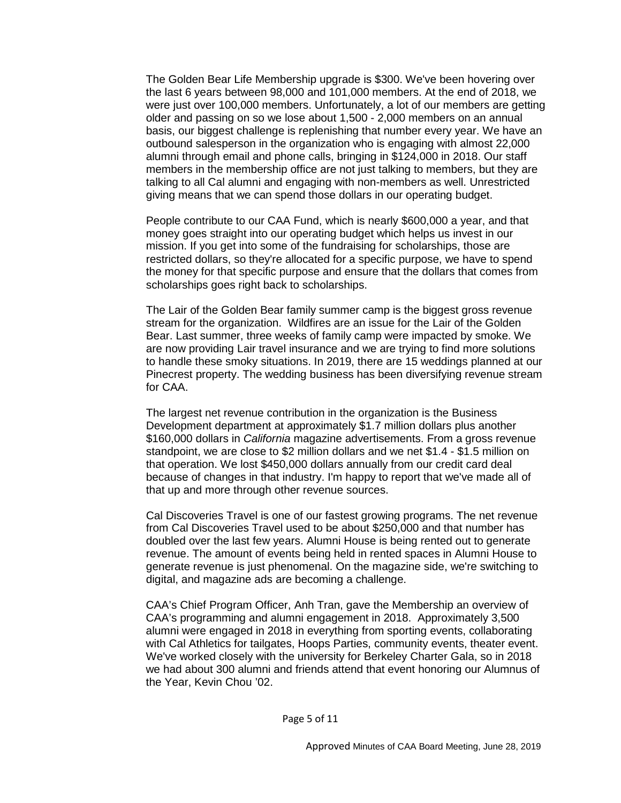The Golden Bear Life Membership upgrade is \$300. We've been hovering over the last 6 years between 98,000 and 101,000 members. At the end of 2018, we were just over 100,000 members. Unfortunately, a lot of our members are getting older and passing on so we lose about 1,500 - 2,000 members on an annual basis, our biggest challenge is replenishing that number every year. We have an outbound salesperson in the organization who is engaging with almost 22,000 alumni through email and phone calls, bringing in \$124,000 in 2018. Our staff members in the membership office are not just talking to members, but they are talking to all Cal alumni and engaging with non-members as well. Unrestricted giving means that we can spend those dollars in our operating budget.

People contribute to our CAA Fund, which is nearly \$600,000 a year, and that money goes straight into our operating budget which helps us invest in our mission. If you get into some of the fundraising for scholarships, those are restricted dollars, so they're allocated for a specific purpose, we have to spend the money for that specific purpose and ensure that the dollars that comes from scholarships goes right back to scholarships.

The Lair of the Golden Bear family summer camp is the biggest gross revenue stream for the organization. Wildfires are an issue for the Lair of the Golden Bear. Last summer, three weeks of family camp were impacted by smoke. We are now providing Lair travel insurance and we are trying to find more solutions to handle these smoky situations. In 2019, there are 15 weddings planned at our Pinecrest property. The wedding business has been diversifying revenue stream for CAA.

The largest net revenue contribution in the organization is the Business Development department at approximately \$1.7 million dollars plus another \$160,000 dollars in *California* magazine advertisements. From a gross revenue standpoint, we are close to \$2 million dollars and we net \$1.4 - \$1.5 million on that operation. We lost \$450,000 dollars annually from our credit card deal because of changes in that industry. I'm happy to report that we've made all of that up and more through other revenue sources.

Cal Discoveries Travel is one of our fastest growing programs. The net revenue from Cal Discoveries Travel used to be about \$250,000 and that number has doubled over the last few years. Alumni House is being rented out to generate revenue. The amount of events being held in rented spaces in Alumni House to generate revenue is just phenomenal. On the magazine side, we're switching to digital, and magazine ads are becoming a challenge.

CAA's Chief Program Officer, Anh Tran, gave the Membership an overview of CAA's programming and alumni engagement in 2018. Approximately 3,500 alumni were engaged in 2018 in everything from sporting events, collaborating with Cal Athletics for tailgates, Hoops Parties, community events, theater event. We've worked closely with the university for Berkeley Charter Gala, so in 2018 we had about 300 alumni and friends attend that event honoring our Alumnus of the Year, Kevin Chou '02.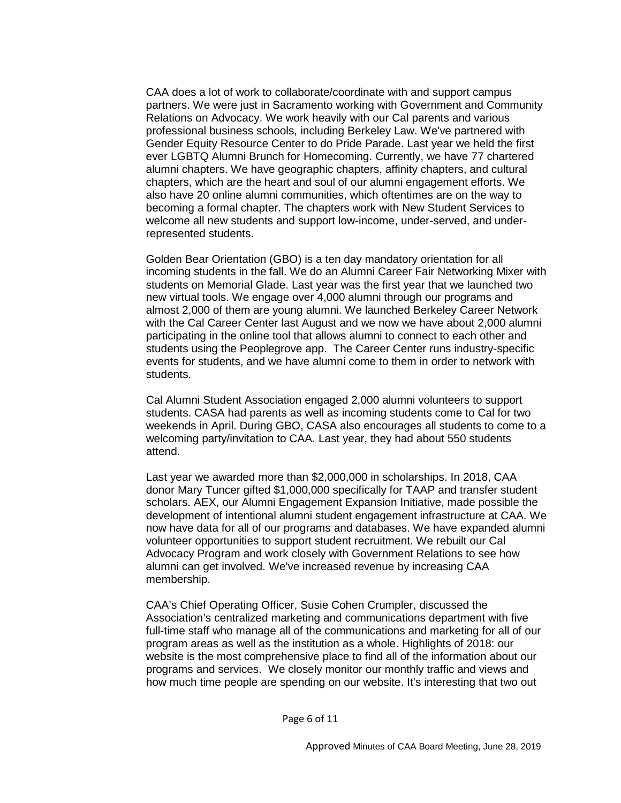CAA does a lot of work to collaborate/coordinate with and support campus partners. We were just in Sacramento working with Government and Community Relations on Advocacy. We work heavily with our Cal parents and various professional business schools, including Berkeley Law. We've partnered with Gender Equity Resource Center to do Pride Parade. Last year we held the first ever LGBTQ Alumni Brunch for Homecoming. Currently, we have 77 chartered alumni chapters. We have geographic chapters, affinity chapters, and cultural chapters, which are the heart and soul of our alumni engagement efforts. We also have 20 online alumni communities, which oftentimes are on the way to becoming a formal chapter. The chapters work with New Student Services to welcome all new students and support low-income, under-served, and underrepresented students.

Golden Bear Orientation (GBO) is a ten day mandatory orientation for all incoming students in the fall. We do an Alumni Career Fair Networking Mixer with students on Memorial Glade. Last year was the first year that we launched two new virtual tools. We engage over 4,000 alumni through our programs and almost 2,000 of them are young alumni. We launched Berkeley Career Network with the Cal Career Center last August and we now we have about 2,000 alumni participating in the online tool that allows alumni to connect to each other and students using the Peoplegrove app. The Career Center runs industry-specific events for students, and we have alumni come to them in order to network with students.

Cal Alumni Student Association engaged 2,000 alumni volunteers to support students. CASA had parents as well as incoming students come to Cal for two weekends in April. During GBO, CASA also encourages all students to come to a welcoming party/invitation to CAA. Last year, they had about 550 students attend.

Last year we awarded more than \$2,000,000 in scholarships. In 2018, CAA donor Mary Tuncer gifted \$1,000,000 specifically for TAAP and transfer student scholars. AEX, our Alumni Engagement Expansion Initiative, made possible the development of intentional alumni student engagement infrastructure at CAA. We now have data for all of our programs and databases. We have expanded alumni volunteer opportunities to support student recruitment. We rebuilt our Cal Advocacy Program and work closely with Government Relations to see how alumni can get involved. We've increased revenue by increasing CAA membership.

CAA's Chief Operating Officer, Susie Cohen Crumpler, discussed the Association's centralized marketing and communications department with five full-time staff who manage all of the communications and marketing for all of our program areas as well as the institution as a whole. Highlights of 2018: our website is the most comprehensive place to find all of the information about our programs and services. We closely monitor our monthly traffic and views and how much time people are spending on our website. It's interesting that two out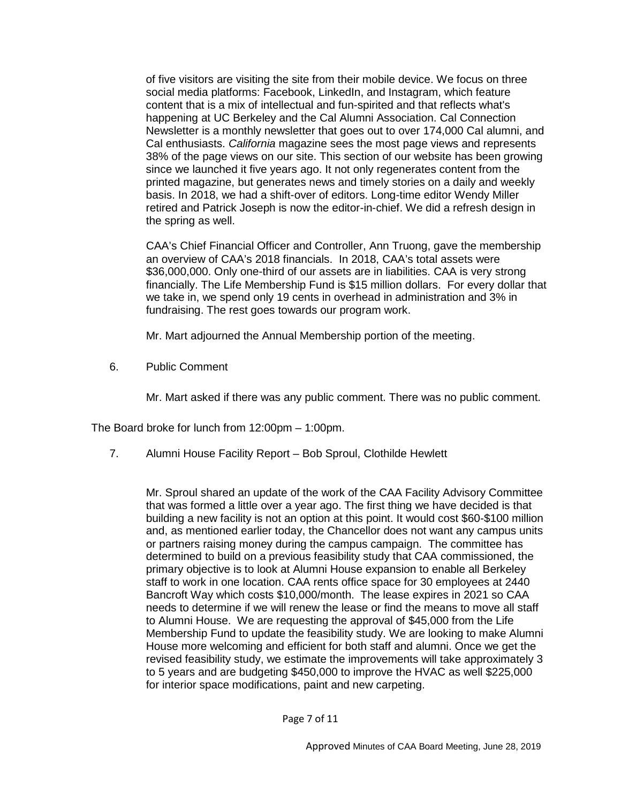of five visitors are visiting the site from their mobile device. We focus on three social media platforms: Facebook, LinkedIn, and Instagram, which feature content that is a mix of intellectual and fun-spirited and that reflects what's happening at UC Berkeley and the Cal Alumni Association. Cal Connection Newsletter is a monthly newsletter that goes out to over 174,000 Cal alumni, and Cal enthusiasts. *California* magazine sees the most page views and represents 38% of the page views on our site. This section of our website has been growing since we launched it five years ago. It not only regenerates content from the printed magazine, but generates news and timely stories on a daily and weekly basis. In 2018, we had a shift-over of editors. Long-time editor Wendy Miller retired and Patrick Joseph is now the editor-in-chief. We did a refresh design in the spring as well.

CAA's Chief Financial Officer and Controller, Ann Truong, gave the membership an overview of CAA's 2018 financials. In 2018, CAA's total assets were \$36,000,000. Only one-third of our assets are in liabilities. CAA is very strong financially. The Life Membership Fund is \$15 million dollars. For every dollar that we take in, we spend only 19 cents in overhead in administration and 3% in fundraising. The rest goes towards our program work.

Mr. Mart adjourned the Annual Membership portion of the meeting.

6. Public Comment

Mr. Mart asked if there was any public comment. There was no public comment.

The Board broke for lunch from 12:00pm – 1:00pm.

7. Alumni House Facility Report – Bob Sproul, Clothilde Hewlett

Mr. Sproul shared an update of the work of the CAA Facility Advisory Committee that was formed a little over a year ago. The first thing we have decided is that building a new facility is not an option at this point. It would cost \$60-\$100 million and, as mentioned earlier today, the Chancellor does not want any campus units or partners raising money during the campus campaign. The committee has determined to build on a previous feasibility study that CAA commissioned, the primary objective is to look at Alumni House expansion to enable all Berkeley staff to work in one location. CAA rents office space for 30 employees at 2440 Bancroft Way which costs \$10,000/month. The lease expires in 2021 so CAA needs to determine if we will renew the lease or find the means to move all staff to Alumni House. We are requesting the approval of \$45,000 from the Life Membership Fund to update the feasibility study. We are looking to make Alumni House more welcoming and efficient for both staff and alumni. Once we get the revised feasibility study, we estimate the improvements will take approximately 3 to 5 years and are budgeting \$450,000 to improve the HVAC as well \$225,000 for interior space modifications, paint and new carpeting.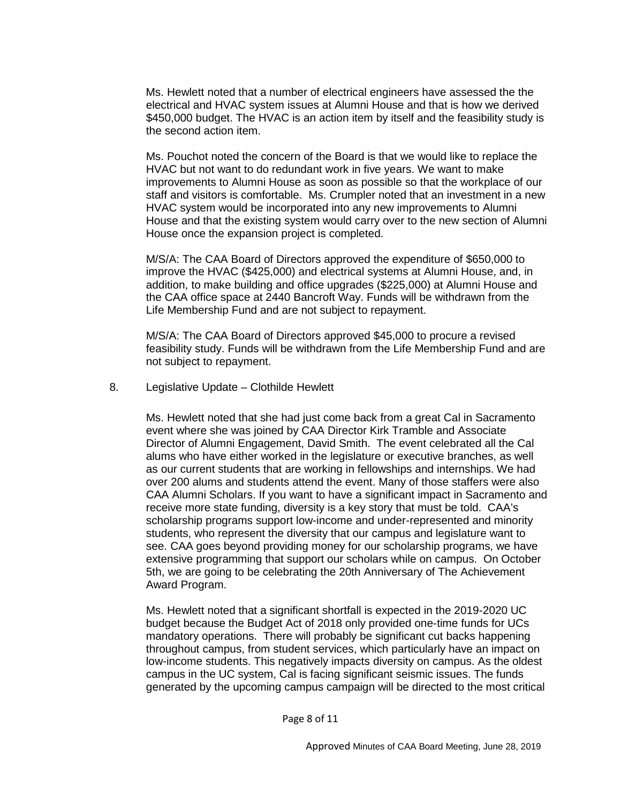Ms. Hewlett noted that a number of electrical engineers have assessed the the electrical and HVAC system issues at Alumni House and that is how we derived \$450,000 budget. The HVAC is an action item by itself and the feasibility study is the second action item.

Ms. Pouchot noted the concern of the Board is that we would like to replace the HVAC but not want to do redundant work in five years. We want to make improvements to Alumni House as soon as possible so that the workplace of our staff and visitors is comfortable. Ms. Crumpler noted that an investment in a new HVAC system would be incorporated into any new improvements to Alumni House and that the existing system would carry over to the new section of Alumni House once the expansion project is completed.

M/S/A: The CAA Board of Directors approved the expenditure of \$650,000 to improve the HVAC (\$425,000) and electrical systems at Alumni House, and, in addition, to make building and office upgrades (\$225,000) at Alumni House and the CAA office space at 2440 Bancroft Way. Funds will be withdrawn from the Life Membership Fund and are not subject to repayment.

M/S/A: The CAA Board of Directors approved \$45,000 to procure a revised feasibility study. Funds will be withdrawn from the Life Membership Fund and are not subject to repayment.

8. Legislative Update – Clothilde Hewlett

Ms. Hewlett noted that she had just come back from a great Cal in Sacramento event where she was joined by CAA Director Kirk Tramble and Associate Director of Alumni Engagement, David Smith. The event celebrated all the Cal alums who have either worked in the legislature or executive branches, as well as our current students that are working in fellowships and internships. We had over 200 alums and students attend the event. Many of those staffers were also CAA Alumni Scholars. If you want to have a significant impact in Sacramento and receive more state funding, diversity is a key story that must be told. CAA's scholarship programs support low-income and under-represented and minority students, who represent the diversity that our campus and legislature want to see. CAA goes beyond providing money for our scholarship programs, we have extensive programming that support our scholars while on campus. On October 5th, we are going to be celebrating the 20th Anniversary of The Achievement Award Program.

Ms. Hewlett noted that a significant shortfall is expected in the 2019-2020 UC budget because the Budget Act of 2018 only provided one-time funds for UCs mandatory operations. There will probably be significant cut backs happening throughout campus, from student services, which particularly have an impact on low-income students. This negatively impacts diversity on campus. As the oldest campus in the UC system, Cal is facing significant seismic issues. The funds generated by the upcoming campus campaign will be directed to the most critical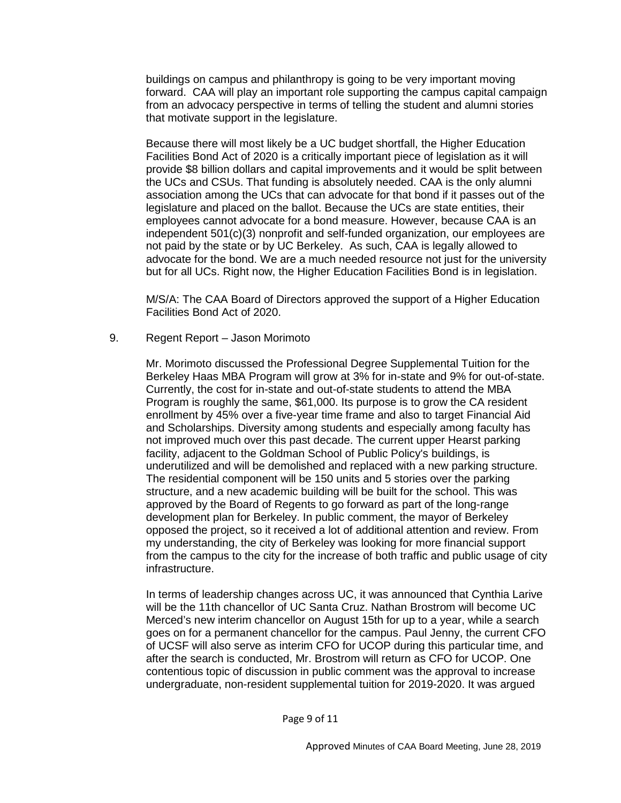buildings on campus and philanthropy is going to be very important moving forward. CAA will play an important role supporting the campus capital campaign from an advocacy perspective in terms of telling the student and alumni stories that motivate support in the legislature.

Because there will most likely be a UC budget shortfall, the Higher Education Facilities Bond Act of 2020 is a critically important piece of legislation as it will provide \$8 billion dollars and capital improvements and it would be split between the UCs and CSUs. That funding is absolutely needed. CAA is the only alumni association among the UCs that can advocate for that bond if it passes out of the legislature and placed on the ballot. Because the UCs are state entities, their employees cannot advocate for a bond measure. However, because CAA is an independent 501(c)(3) nonprofit and self-funded organization, our employees are not paid by the state or by UC Berkeley. As such, CAA is legally allowed to advocate for the bond. We are a much needed resource not just for the university but for all UCs. Right now, the Higher Education Facilities Bond is in legislation.

M/S/A: The CAA Board of Directors approved the support of a Higher Education Facilities Bond Act of 2020.

9. Regent Report – Jason Morimoto

Mr. Morimoto discussed the Professional Degree Supplemental Tuition for the Berkeley Haas MBA Program will grow at 3% for in-state and 9% for out-of-state. Currently, the cost for in-state and out-of-state students to attend the MBA Program is roughly the same, \$61,000. Its purpose is to grow the CA resident enrollment by 45% over a five-year time frame and also to target Financial Aid and Scholarships. Diversity among students and especially among faculty has not improved much over this past decade. The current upper Hearst parking facility, adjacent to the Goldman School of Public Policy's buildings, is underutilized and will be demolished and replaced with a new parking structure. The residential component will be 150 units and 5 stories over the parking structure, and a new academic building will be built for the school. This was approved by the Board of Regents to go forward as part of the long-range development plan for Berkeley. In public comment, the mayor of Berkeley opposed the project, so it received a lot of additional attention and review. From my understanding, the city of Berkeley was looking for more financial support from the campus to the city for the increase of both traffic and public usage of city infrastructure.

In terms of leadership changes across UC, it was announced that Cynthia Larive will be the 11th chancellor of UC Santa Cruz. Nathan Brostrom will become UC Merced's new interim chancellor on August 15th for up to a year, while a search goes on for a permanent chancellor for the campus. Paul Jenny, the current CFO of UCSF will also serve as interim CFO for UCOP during this particular time, and after the search is conducted, Mr. Brostrom will return as CFO for UCOP. One contentious topic of discussion in public comment was the approval to increase undergraduate, non-resident supplemental tuition for 2019-2020. It was argued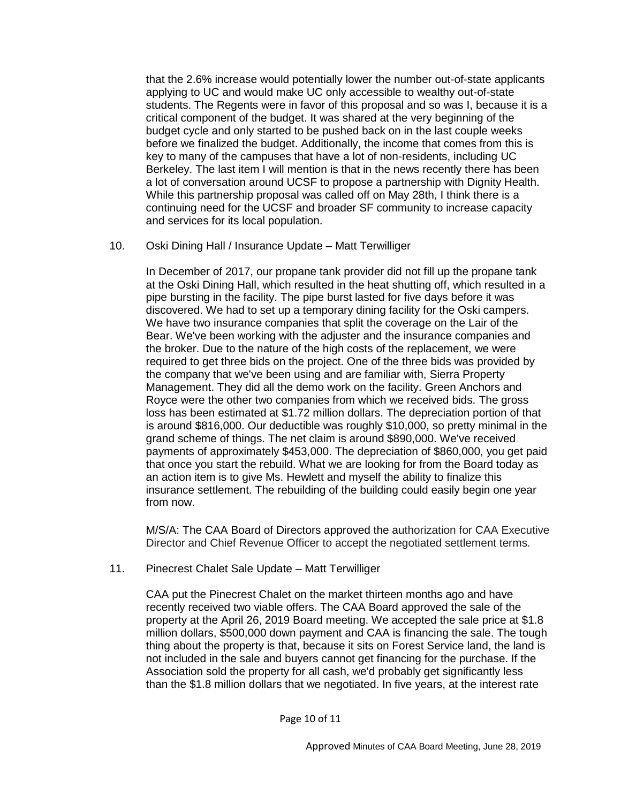that the 2.6% increase would potentially lower the number out-of-state applicants applying to UC and would make UC only accessible to wealthy out-of-state students. The Regents were in favor of this proposal and so was I, because it is a critical component of the budget. It was shared at the very beginning of the budget cycle and only started to be pushed back on in the last couple weeks before we finalized the budget. Additionally, the income that comes from this is key to many of the campuses that have a lot of non-residents, including UC Berkeley. The last item I will mention is that in the news recently there has been a lot of conversation around UCSF to propose a partnership with Dignity Health. While this partnership proposal was called off on May 28th, I think there is a continuing need for the UCSF and broader SF community to increase capacity and services for its local population.

### 10. Oski Dining Hall / Insurance Update – Matt Terwilliger

In December of 2017, our propane tank provider did not fill up the propane tank at the Oski Dining Hall, which resulted in the heat shutting off, which resulted in a pipe bursting in the facility. The pipe burst lasted for five days before it was discovered. We had to set up a temporary dining facility for the Oski campers. We have two insurance companies that split the coverage on the Lair of the Bear. We've been working with the adjuster and the insurance companies and the broker. Due to the nature of the high costs of the replacement, we were required to get three bids on the project. One of the three bids was provided by the company that we've been using and are familiar with, Sierra Property Management. They did all the demo work on the facility. Green Anchors and Royce were the other two companies from which we received bids. The gross loss has been estimated at \$1.72 million dollars. The depreciation portion of that is around \$816,000. Our deductible was roughly \$10,000, so pretty minimal in the grand scheme of things. The net claim is around \$890,000. We've received payments of approximately \$453,000. The depreciation of \$860,000, you get paid that once you start the rebuild. What we are looking for from the Board today as an action item is to give Ms. Hewlett and myself the ability to finalize this insurance settlement. The rebuilding of the building could easily begin one year from now.

M/S/A: The CAA Board of Directors approved the authorization for CAA Executive Director and Chief Revenue Officer to accept the negotiated settlement terms.

11. Pinecrest Chalet Sale Update – Matt Terwilliger

CAA put the Pinecrest Chalet on the market thirteen months ago and have recently received two viable offers. The CAA Board approved the sale of the property at the April 26, 2019 Board meeting. We accepted the sale price at \$1.8 million dollars, \$500,000 down payment and CAA is financing the sale. The tough thing about the property is that, because it sits on Forest Service land, the land is not included in the sale and buyers cannot get financing for the purchase. If the Association sold the property for all cash, we'd probably get significantly less than the \$1.8 million dollars that we negotiated. In five years, at the interest rate